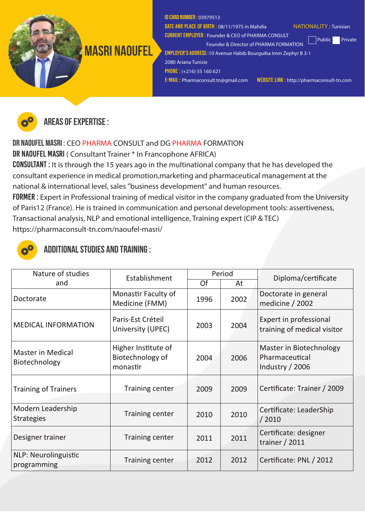

ID card number : 03979513

CURRENT EMPLOYER : Founder & CEO of PHARMA CONSULT

DATE AND PLACE OF BIRTH: 08/11/1975 in Mahdia NATIONALITY: Tunisian

Public Private

EMPLOYER'S ADDRESS :10 Avenue Habib Bourguiba Imm Zephyr B 3-1 2080 Ariana Tunisie

Founder & Director of PHARMA FORMATION

PHONE : (+216) 55 160 621

E-MAIL : Pharmaconsult.tn@gmail.com WEBSITE LINK : http://pharmaconsult-tn.com



Areas of expertise :

Dr NAOUFEL MASRI : CEO PHARMA CONSULT and DG PHARMA FORMATION

DR NAOUFEL MASRI ( Consultant Trainer \* In Francophone AFRICA)

Consultant : It is through the 15 years ago in the multinational company that he has developed the consultant experience in medical promotion,marketing and pharmaceutical management at the national & international level, sales "business development" and human resources.

FORMER : Expert in Professional training of medical visitor in the company graduated from the University of Paris12 (France). He is trained in communication and personal development tools: assertiveness, Transactional analysis, NLP and emotional intelligence, Training expert (CIP & TEC) https://pharmaconsult-tn.com/naoufel-masri/



## Additional studies and training :

| Nature of studies                          | Establishment                                       | Period |      | Diploma/certificate                                          |  |
|--------------------------------------------|-----------------------------------------------------|--------|------|--------------------------------------------------------------|--|
| and                                        |                                                     | Of     | At   |                                                              |  |
| Doctorate                                  | Monastir Faculty of<br>Medicine (FMM)               | 1996   | 2002 | Doctorate in general<br>medicine / 2002                      |  |
| <b>MEDICAL INFORMATION</b>                 | Paris-Est Créteil<br>University (UPEC)              | 2003   | 2004 | Expert in professional<br>training of medical visitor        |  |
| <b>Master in Medical</b><br>Biotechnology  | Higher Institute of<br>Biotechnology of<br>monastir | 2004   | 2006 | Master in Biotechnology<br>Pharmaceutical<br>Industry / 2006 |  |
| <b>Training of Trainers</b>                | <b>Training center</b>                              | 2009   | 2009 | Certificate: Trainer / 2009                                  |  |
| Modern Leadership<br><b>Strategies</b>     | <b>Training center</b>                              | 2010   | 2010 | Certificate: LeaderShip<br>/2010                             |  |
| Designer trainer                           | <b>Training center</b>                              | 2011   | 2011 | Certificate: designer<br>trainer / 2011                      |  |
| <b>NLP: Neurolinguistic</b><br>programming | Training center                                     | 2012   | 2012 | Certificate: PNL / 2012                                      |  |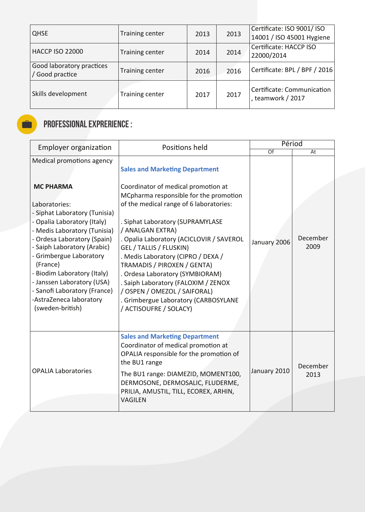| <b>QHSE</b>                                  | Training center        | 2013 | 2013 | Certificate: ISO 9001/ ISO<br>14001 / ISO 45001 Hygiene |
|----------------------------------------------|------------------------|------|------|---------------------------------------------------------|
| <b>HACCP ISO 22000</b>                       | Training center        | 2014 | 2014 | Certificate: HACCP ISO<br>22000/2014                    |
| Good laboratory practices<br>/ Good practice | Training center        | 2016 | 2016 | Certificate: BPL / BPF / 2016                           |
| Skills development                           | <b>Training center</b> | 2017 | 2017 | Certificate: Communication<br>, teamwork / 2017         |

## Professional Exprerience :

Ō

| <b>Employer organization</b>                                                                                                                                                                                                                                                                                                                                                                                    | Positions held                                                                                                                                                                                                                                                                                                                                                                                                                                                                                                                                    | Périod          |                  |  |
|-----------------------------------------------------------------------------------------------------------------------------------------------------------------------------------------------------------------------------------------------------------------------------------------------------------------------------------------------------------------------------------------------------------------|---------------------------------------------------------------------------------------------------------------------------------------------------------------------------------------------------------------------------------------------------------------------------------------------------------------------------------------------------------------------------------------------------------------------------------------------------------------------------------------------------------------------------------------------------|-----------------|------------------|--|
|                                                                                                                                                                                                                                                                                                                                                                                                                 |                                                                                                                                                                                                                                                                                                                                                                                                                                                                                                                                                   | $\overline{Of}$ | At               |  |
| Medical promotions agency<br><b>MC PHARMA</b><br>Laboratories:<br>- Siphat Laboratory (Tunisia)<br>- Opalia Laboratory (Italy)<br>- Medis Laboratory (Tunisia)<br>- Ordesa Laboratory (Spain)<br>- Saiph Laboratory (Arabic)<br>- Grimbergue Laboratory<br>(France)<br>- Biodim Laboratory (Italy)<br>- Janssen Laboratory (USA)<br>- Sanofi Laboratory (France)<br>-AstraZeneca laboratory<br>(sweden-british) | <b>Sales and Marketing Department</b><br>Coordinator of medical promotion at<br>MCpharma responsible for the promotion<br>of the medical range of 6 laboratories:<br>. Siphat Laboratory (SUPRAMYLASE<br>/ ANALGAN EXTRA)<br>. Opalia Laboratory (ACICLOVIR / SAVEROL<br>GEL / TALLIS / FLUSKIN)<br>. Medis Laboratory (CIPRO / DEXA /<br>TRAMADIS / PIROXEN / GENTA)<br>. Ordesa Laboratory (SYMBIORAM)<br>. Saiph Laboratory (FALOXIM / ZENOX<br>/ OSPEN / OMEZOL / SAIFORAL)<br>. Grimbergue Laboratory (CARBOSYLANE<br>/ ACTISOUFRE / SOLACY) | January 2006    | December<br>2009 |  |
| <b>OPALIA Laboratories</b>                                                                                                                                                                                                                                                                                                                                                                                      | <b>Sales and Marketing Department</b><br>Coordinator of medical promotion at<br>OPALIA responsible for the promotion of<br>the BU1 range<br>The BU1 range: DIAMEZID, MOMENT100,<br>DERMOSONE, DERMOSALIC, FLUDERME,<br>PRILIA, AMUSTIL, TILL, ECOREX, ARHIN,<br><b>VAGILEN</b>                                                                                                                                                                                                                                                                    | January 2010    | December<br>2013 |  |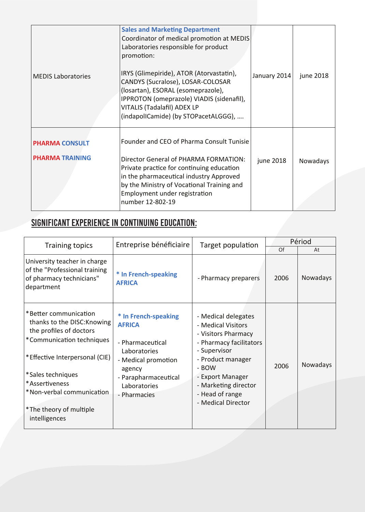| <b>MEDIS Laboratories</b>                       | <b>Sales and Marketing Department</b><br>Coordinator of medical promotion at MEDIS<br>Laboratories responsible for product<br>promotion:<br>IRYS (Glimepiride), ATOR (Atorvastatin),<br>CANDYS (Sucralose), LOSAR-COLOSAR<br>(losartan), ESORAL (esomeprazole),<br>IPPROTON (omeprazole) VIADIS (sidenafil),<br>VITALIS (Tadalafil) ADEX LP<br>(indapollCamide) (by STOPacetALGGG), | January 2014 | june 2018 |
|-------------------------------------------------|-------------------------------------------------------------------------------------------------------------------------------------------------------------------------------------------------------------------------------------------------------------------------------------------------------------------------------------------------------------------------------------|--------------|-----------|
| <b>PHARMA CONSULT</b><br><b>PHARMA TRAINING</b> | Founder and CEO of Pharma Consult Tunisie<br>Director General of PHARMA FORMATION:<br>Private practice for continuing education<br>in the pharmaceutical industry Approved<br>by the Ministry of Vocational Training and<br>Employment under registration<br>number 12-802-19                                                                                                       | june 2018    | Nowadays  |

# Significant experience in continuing education:

| <b>Training topics</b>                                                                                                                                                                                                                                         | Entreprise bénéficiaire                                                                                                                                            | Target population                                                                                                                                                                                                              | Périod |          |  |
|----------------------------------------------------------------------------------------------------------------------------------------------------------------------------------------------------------------------------------------------------------------|--------------------------------------------------------------------------------------------------------------------------------------------------------------------|--------------------------------------------------------------------------------------------------------------------------------------------------------------------------------------------------------------------------------|--------|----------|--|
|                                                                                                                                                                                                                                                                |                                                                                                                                                                    |                                                                                                                                                                                                                                | Of     | At       |  |
| University teacher in charge<br>of the "Professional training<br>of pharmacy technicians"<br>department                                                                                                                                                        | * In French-speaking<br><b>AFRICA</b>                                                                                                                              | - Pharmacy preparers                                                                                                                                                                                                           | 2006   | Nowadays |  |
| *Better communication<br>thanks to the DISC: Knowing<br>the profiles of doctors<br>*Communication techniques<br>*Effective Interpersonal (CIE)<br>*Sales techniques<br>*Assertiveness<br>*Non-verbal communication<br>*The theory of multiple<br>intelligences | * In French-speaking<br><b>AFRICA</b><br>- Pharmaceutical<br>Laboratories<br>- Medical promotion<br>agency<br>- Parapharmaceutical<br>Laboratories<br>- Pharmacies | - Medical delegates<br>- Medical Visitors<br>- Visitors Pharmacy<br>- Pharmacy facilitators<br>- Supervisor<br>- Product manager<br>- BOW<br>- Export Manager<br>- Marketing director<br>- Head of range<br>- Medical Director | 2006   | Nowadays |  |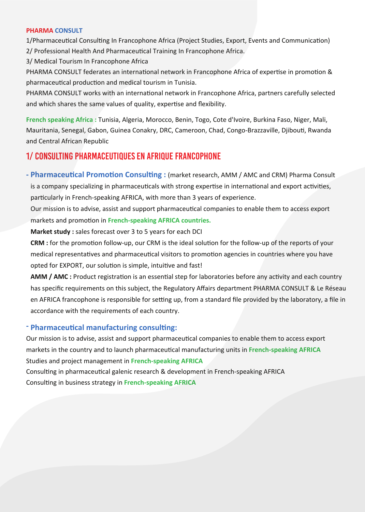#### **PHARMA CONSULT**

1/Pharmaceutical Consulting In Francophone Africa (Project Studies, Export, Events and Communication) 2/ Professional Health And Pharmaceutical Training In Francophone Africa.

3/ Medical Tourism In Francophone Africa

PHARMA CONSULT federates an international network in Francophone Africa of expertise in promotion & pharmaceutical production and medical tourism in Tunisia.

PHARMA CONSULT works with an international network in Francophone Africa, partners carefully selected and which shares the same values of quality, expertise and flexibility.

**French speaking Africa :** Tunisia, Algeria, Morocco, Benin, Togo, Cote d'Ivoire, Burkina Faso, Niger, Mali, Mauritania, Senegal, Gabon, Guinea Conakry, DRC, Cameroon, Chad, Congo-Brazzaville, Djibou�, Rwanda and Central African Republic

#### 1/ Consulting Pharmaceutiques En Afrique Francophone

- Pharmaceutical Promotion Consulting: (market research, AMM / AMC and CRM) Pharma Consult is a company specializing in pharmaceuticals with strong expertise in international and export activities, particularly in French-speaking AFRICA, with more than 3 years of experience.

Our mission is to advise, assist and support pharmaceutical companies to enable them to access export markets and promotion in **French-speaking AFRICA countries.** 

**Market study :** sales forecast over 3 to 5 years for each DCI

CRM : for the promotion follow-up, our CRM is the ideal solution for the follow-up of the reports of your medical representatives and pharmaceutical visitors to promotion agencies in countries where you have opted for EXPORT, our solution is simple, intuitive and fast!

AMM / AMC : Product registration is an essential step for laboratories before any activity and each country has specific requirements on this subject, the Regulatory Affairs department PHARMA CONSULT & Le Réseau en AFRICA francophone is responsible for setting up, from a standard file provided by the laboratory, a file in accordance with the requirements of each country.

#### **Pharmaceutical manufacturing consulting:**

Our mission is to advise, assist and support pharmaceu�cal companies to enable them to access export markets in the country and to launch pharmaceu�cal manufacturing units in **French-speaking AFRICA** Studies and project management in **French-speaking AFRICA**

Consulting in pharmaceutical galenic research & development in French-speaking AFRICA Consulting in business strategy in French-speaking AFRICA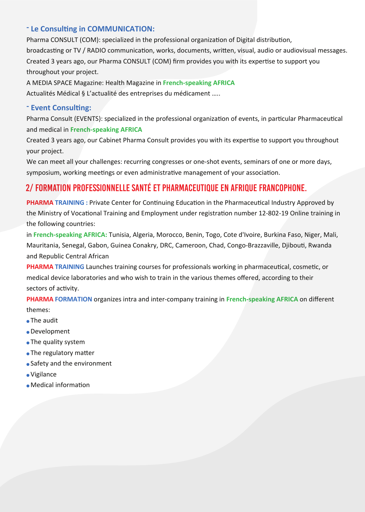#### **Le Consulting in COMMUNICATION:**

Pharma CONSULT (COM): specialized in the professional organization of Digital distribution, broadcasting or TV / RADIO communication, works, documents, written, visual, audio or audiovisual messages. Created 3 years ago, our Pharma CONSULT (COM) firm provides you with its expertise to support you throughout your project.

A MEDIA SPACE Magazine: Health Magazine in **French-speaking AFRICA** Actualités Médical § L'actualité des entreprises du médicament …..

#### **Event Consulting:**

Pharma Consult (EVENTS): specialized in the professional organization of events, in particular Pharmaceutical and medical in **French-speaking AFRICA**

Created 3 years ago, our Cabinet Pharma Consult provides you with its expertise to support you throughout your project.

We can meet all your challenges: recurring congresses or one-shot events, seminars of one or more days, symposium, working meetings or even administrative management of your association.

#### 2/ Formation Professionnelle Santé Et Pharmaceutique En Afrique Francophone.

**PHARMA TRAINING**: Private Center for Continuing Education in the Pharmaceutical Industry Approved by the Ministry of Vocational Training and Employment under registration number 12-802-19 Online training in the following countries:

in **French-speaking AFRICA:** Tunisia, Algeria, Morocco, Benin, Togo, Cote d'Ivoire, Burkina Faso, Niger, Mali, Mauritania, Senegal, Gabon, Guinea Conakry, DRC, Cameroon, Chad, Congo-Brazzaville, Djibou�, Rwanda and Republic Central African

**PHARMA TRAINING** Launches training courses for professionals working in pharmaceutical, cosmetic, or medical device laboratories and who wish to train in the various themes offered, according to their sectors of activity.

**PHARMA FORMATION** organizes intra and inter-company training in **French-speaking AFRICA** on different themes:

- The audit
- Development
- The quality system
- The regulatory matter
- Safety and the environment
- Vigilance
- $\bullet$  Medical information